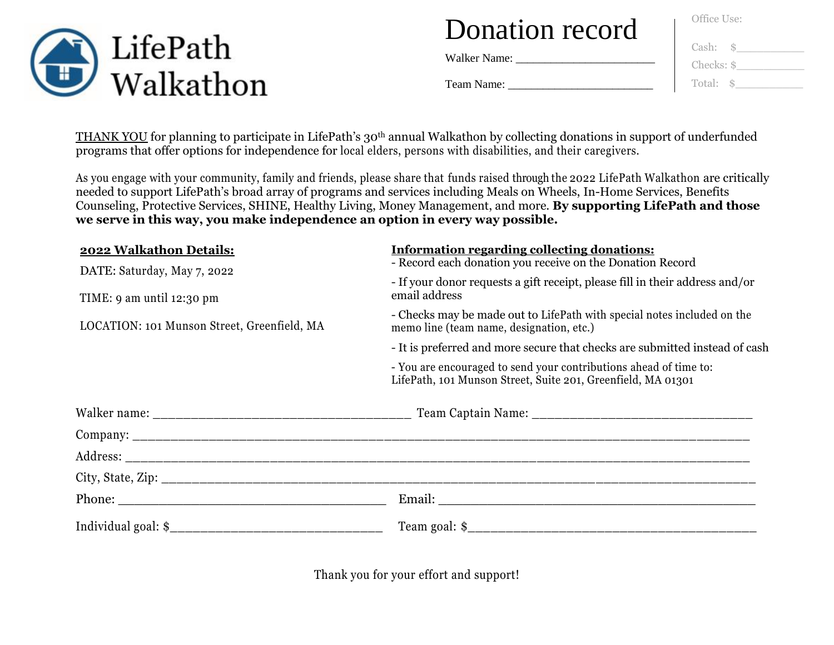

Walker Name: \_\_\_\_\_\_\_\_\_\_\_\_\_\_\_\_\_\_\_\_\_\_\_\_

Office Use:

| Cash:      |  |
|------------|--|
| Checks: \$ |  |
| Total: \$  |  |

Team Name: \_\_\_\_\_\_\_\_\_\_\_\_\_\_\_\_\_\_\_\_\_\_\_\_\_

THANK YOU for planning to participate in LifePath's 30th annual Walkathon by collecting donations in support of underfunded programs that offer options for independence for local elders, persons with disabilities, and their caregivers.

As you engage with your community, family and friends, please share that funds raised through the 2022 LifePath Walkathon are critically needed to support LifePath's broad array of programs and services including Meals on Wheels, In-Home Services, Benefits Counseling, Protective Services, SHINE, Healthy Living, Money Management, and more. **By supporting LifePath and those we serve in this way, you make independence an option in every way possible.**

| 2022 Walkathon Details:                                    | <b>Information regarding collecting donations:</b><br>- Record each donation you receive on the Donation Record<br>- If your donor requests a gift receipt, please fill in their address and/or<br>email address |  |  |  |
|------------------------------------------------------------|------------------------------------------------------------------------------------------------------------------------------------------------------------------------------------------------------------------|--|--|--|
| DATE: Saturday, May 7, 2022<br>TIME: $9$ am until 12:30 pm |                                                                                                                                                                                                                  |  |  |  |
| LOCATION: 101 Munson Street, Greenfield, MA                | - Checks may be made out to LifePath with special notes included on the<br>memo line (team name, designation, etc.)                                                                                              |  |  |  |
|                                                            | - It is preferred and more secure that checks are submitted instead of cash                                                                                                                                      |  |  |  |
|                                                            | - You are encouraged to send your contributions ahead of time to:<br>LifePath, 101 Munson Street, Suite 201, Greenfield, MA 01301                                                                                |  |  |  |
|                                                            |                                                                                                                                                                                                                  |  |  |  |
|                                                            |                                                                                                                                                                                                                  |  |  |  |
|                                                            |                                                                                                                                                                                                                  |  |  |  |
|                                                            |                                                                                                                                                                                                                  |  |  |  |
|                                                            |                                                                                                                                                                                                                  |  |  |  |
|                                                            |                                                                                                                                                                                                                  |  |  |  |

Thank you for your effort and support!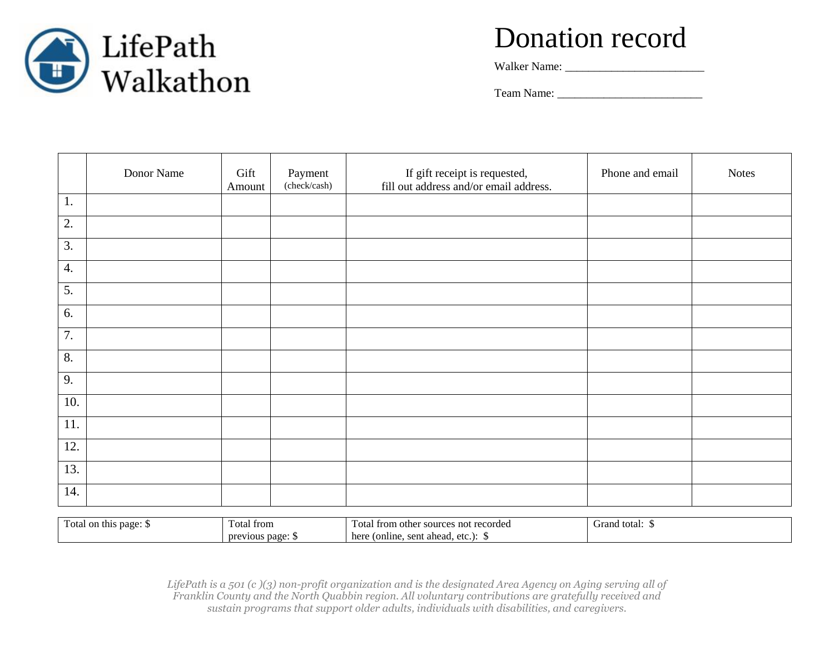

Walker Name: \_\_\_\_\_\_\_\_\_\_\_\_\_\_\_\_\_\_\_\_\_\_\_\_

Team Name: \_\_\_\_\_\_\_\_\_\_\_\_\_\_\_\_\_\_\_\_\_\_\_\_\_

|                  | Donor Name             | Gift<br>Amount | Payment<br>(check/cash) | If gift receipt is requested,<br>fill out address and/or email address. | Phone and email | <b>Notes</b> |
|------------------|------------------------|----------------|-------------------------|-------------------------------------------------------------------------|-----------------|--------------|
| 1.               |                        |                |                         |                                                                         |                 |              |
| $\overline{2}$ . |                        |                |                         |                                                                         |                 |              |
| 3.               |                        |                |                         |                                                                         |                 |              |
| 4.               |                        |                |                         |                                                                         |                 |              |
| 5.               |                        |                |                         |                                                                         |                 |              |
| 6.               |                        |                |                         |                                                                         |                 |              |
| $\overline{7}$ . |                        |                |                         |                                                                         |                 |              |
| 8.               |                        |                |                         |                                                                         |                 |              |
| $\overline{9}$ . |                        |                |                         |                                                                         |                 |              |
| 10.              |                        |                |                         |                                                                         |                 |              |
| 11.              |                        |                |                         |                                                                         |                 |              |
| 12.              |                        |                |                         |                                                                         |                 |              |
| 13.              |                        |                |                         |                                                                         |                 |              |
| 14.              |                        |                |                         |                                                                         |                 |              |
|                  | Total on this page: \$ | Total from     |                         | Total from other sources not recorded                                   | Grand total: \$ |              |

*LifePath is a 501 (c )(3) non-profit organization and is the designated Area Agency on Aging serving all of Franklin County and the North Quabbin region. All voluntary contributions are gratefully received and sustain programs that support older adults, individuals with disabilities, and caregivers.*

here (online, sent ahead, etc.): \$

previous page: \$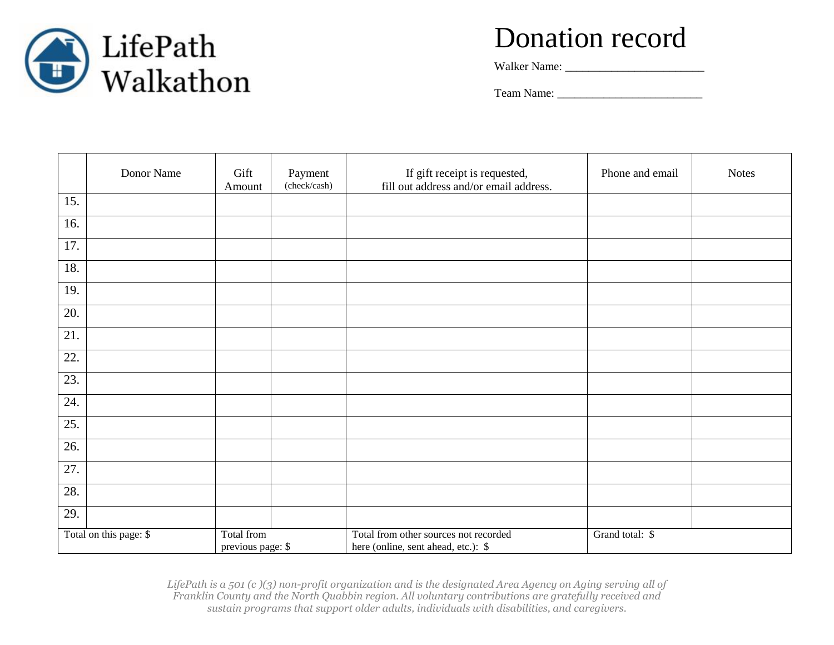

Walker Name: \_\_\_\_\_\_\_\_\_\_\_\_\_\_\_\_\_\_\_\_\_\_\_\_

Team Name: \_\_\_\_\_\_\_\_\_\_\_\_\_\_\_\_\_\_\_\_\_\_\_\_\_

|                                                                                                                                                              | Donor Name | Gift<br>Amount | Payment<br>(check/cash) | If gift receipt is requested,<br>fill out address and/or email address. | Phone and email | <b>Notes</b> |
|--------------------------------------------------------------------------------------------------------------------------------------------------------------|------------|----------------|-------------------------|-------------------------------------------------------------------------|-----------------|--------------|
| 15.                                                                                                                                                          |            |                |                         |                                                                         |                 |              |
| 16.                                                                                                                                                          |            |                |                         |                                                                         |                 |              |
| 17.                                                                                                                                                          |            |                |                         |                                                                         |                 |              |
| 18.                                                                                                                                                          |            |                |                         |                                                                         |                 |              |
| 19.                                                                                                                                                          |            |                |                         |                                                                         |                 |              |
| 20.                                                                                                                                                          |            |                |                         |                                                                         |                 |              |
| 21.                                                                                                                                                          |            |                |                         |                                                                         |                 |              |
| 22.                                                                                                                                                          |            |                |                         |                                                                         |                 |              |
| 23.                                                                                                                                                          |            |                |                         |                                                                         |                 |              |
| 24.                                                                                                                                                          |            |                |                         |                                                                         |                 |              |
| 25.                                                                                                                                                          |            |                |                         |                                                                         |                 |              |
| 26.                                                                                                                                                          |            |                |                         |                                                                         |                 |              |
| 27.                                                                                                                                                          |            |                |                         |                                                                         |                 |              |
| 28.                                                                                                                                                          |            |                |                         |                                                                         |                 |              |
| 29.                                                                                                                                                          |            |                |                         |                                                                         |                 |              |
| Total from other sources not recorded<br>Total on this page: \$<br>Total from<br>Grand total: \$<br>previous page: \$<br>here (online, sent ahead, etc.): \$ |            |                |                         |                                                                         |                 |              |

*LifePath is a 501 (c )(3) non-profit organization and is the designated Area Agency on Aging serving all of Franklin County and the North Quabbin region. All voluntary contributions are gratefully received and sustain programs that support older adults, individuals with disabilities, and caregivers.*